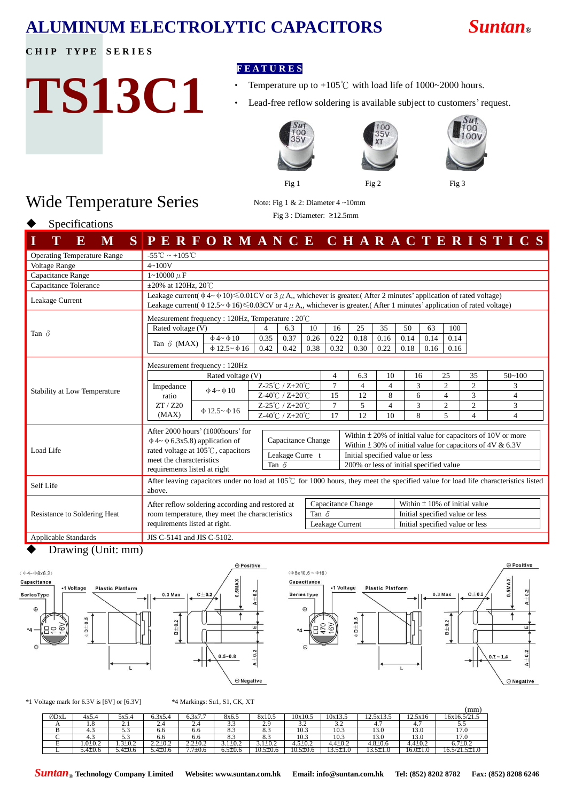## **ALUMINUM ELECTROLYTIC CAPACITORS** *Suntan***®**

**CHIP TYPE SERIES** 

# **TS13C1**

Wide Temperature Series

### **F E A T U R E S**

- Temperature up to +105°C with load life of 1000~2000 hours.
- Lead-free reflow soldering is available subject to customers' request.





00  $00V$ 

Fig 1 Fig 2 Fig 3

Note: Fig 1 & 2: Diameter 4 ~10mm Fig 3 : Diameter: ≥12.5mm



Specifications

| $\mathbf E$<br>M                   | SPERFORMANCE CHARACTERISTICS                                                                                                                                                                                                                                                          |                                                   |                                                      |      |              |                                 |                                         |                                                                                                                                  |                                   |      |                                  |                     |                |  |
|------------------------------------|---------------------------------------------------------------------------------------------------------------------------------------------------------------------------------------------------------------------------------------------------------------------------------------|---------------------------------------------------|------------------------------------------------------|------|--------------|---------------------------------|-----------------------------------------|----------------------------------------------------------------------------------------------------------------------------------|-----------------------------------|------|----------------------------------|---------------------|----------------|--|
| <b>Operating Temperature Range</b> | $-55^{\circ}\text{C} \sim +105^{\circ}\text{C}$                                                                                                                                                                                                                                       |                                                   |                                                      |      |              |                                 |                                         |                                                                                                                                  |                                   |      |                                  |                     |                |  |
| <b>Voltage Range</b>               | $4 - 100V$                                                                                                                                                                                                                                                                            |                                                   |                                                      |      |              |                                 |                                         |                                                                                                                                  |                                   |      |                                  |                     |                |  |
| Capacitance Range                  | $1 - 10000 \mu F$                                                                                                                                                                                                                                                                     |                                                   |                                                      |      |              |                                 |                                         |                                                                                                                                  |                                   |      |                                  |                     |                |  |
| Capacitance Tolerance              |                                                                                                                                                                                                                                                                                       | $\pm 20\%$ at 120Hz, 20°C                         |                                                      |      |              |                                 |                                         |                                                                                                                                  |                                   |      |                                  |                     |                |  |
| Leakage Current                    | Leakage current( $\phi$ 4~ $\phi$ 10) $\leq 0.01$ CV or 3 $\mu$ A,, whichever is greater.(After 2 minutes' application of rated voltage)<br>Leakage current( $\phi$ 12.5~ $\phi$ 16) $\leq$ 0.03CV or 4 $\mu$ A, whichever is greater (After 1 minutes' application of rated voltage) |                                                   |                                                      |      |              |                                 |                                         |                                                                                                                                  |                                   |      |                                  |                     |                |  |
|                                    |                                                                                                                                                                                                                                                                                       | Measurement frequency : 120Hz, Temperature : 20°C |                                                      |      |              |                                 |                                         |                                                                                                                                  |                                   |      |                                  |                     |                |  |
|                                    | Rated voltage (V)                                                                                                                                                                                                                                                                     |                                                   | 4                                                    | 6.3  | 10           | 16                              | 25                                      | 35                                                                                                                               | 50                                | 63   | 100                              |                     |                |  |
| Tan $\delta$                       | Tan $\delta$ (MAX)                                                                                                                                                                                                                                                                    | $\Phi$ 4~ $\Phi$ 10                               | 0.35                                                 | 0.37 | 0.26         | 0.22                            | 0.18                                    | 0.16                                                                                                                             | 0.14                              | 0.14 | 0.14                             |                     |                |  |
|                                    |                                                                                                                                                                                                                                                                                       | $\Phi$ 12.5~ $\Phi$ 16                            | 0.42                                                 | 0.42 | 0.38         | 0.32                            | 0.30                                    | 0.22                                                                                                                             | 0.18                              | 0.16 | 0.16                             |                     |                |  |
|                                    | Measurement frequency: 120Hz                                                                                                                                                                                                                                                          |                                                   |                                                      |      |              |                                 |                                         |                                                                                                                                  |                                   |      |                                  |                     |                |  |
|                                    | Rated voltage (V)                                                                                                                                                                                                                                                                     |                                                   |                                                      |      |              | $\overline{4}$                  | 6.3                                     | 10                                                                                                                               | 16                                |      | 25                               | 35                  | $50 - 100$     |  |
| Stability at Low Temperature       | Impedance                                                                                                                                                                                                                                                                             | $\Phi$ 4~ $\Phi$ 10                               | Z-25℃ / Z+20℃                                        |      |              | $\tau$                          | $\overline{4}$                          | $\overline{4}$                                                                                                                   | 3                                 |      | $\overline{2}$                   | $\overline{2}$      | 3              |  |
|                                    | ratio<br>ZT / Z20                                                                                                                                                                                                                                                                     |                                                   | Z-40℃ / Z+20℃                                        |      |              | 15<br>$\overline{7}$            | 12<br>5                                 | 8<br>$\overline{4}$                                                                                                              | 6<br>3                            |      | $\overline{4}$<br>$\overline{2}$ | 3<br>$\overline{2}$ | 4<br>3         |  |
|                                    | (MAX)                                                                                                                                                                                                                                                                                 | $\Phi$ 12.5~ $\Phi$ 16                            | Z-25℃ / Z+20℃<br>$Z-40^{\circ}$ C / $Z+20^{\circ}$ C |      |              | 17                              | 12                                      | 10                                                                                                                               | 8                                 |      | 5                                | $\overline{4}$      | $\overline{4}$ |  |
|                                    |                                                                                                                                                                                                                                                                                       |                                                   |                                                      |      |              |                                 |                                         |                                                                                                                                  |                                   |      |                                  |                     |                |  |
|                                    | After 2000 hours' (1000 hours' for<br>$\Phi$ 4~ $\Phi$ 6.3x5.8) application of                                                                                                                                                                                                        |                                                   | Capacitance Change                                   |      |              |                                 |                                         | Within $\pm$ 20% of initial value for capacitors of 10V or more<br>Within $\pm$ 30% of initial value for capacitors of 4V & 6.3V |                                   |      |                                  |                     |                |  |
| Load Life                          | rated voltage at $105^{\circ}$ C, capacitors<br>Leakage Curre t<br>meet the characteristics<br>Tan $\delta$<br>requirements listed at right                                                                                                                                           |                                                   |                                                      |      |              | Initial specified value or less |                                         |                                                                                                                                  |                                   |      |                                  |                     |                |  |
|                                    |                                                                                                                                                                                                                                                                                       |                                                   |                                                      |      |              |                                 | 200% or less of initial specified value |                                                                                                                                  |                                   |      |                                  |                     |                |  |
| Self Life                          | After leaving capacitors under no load at $105^{\circ}$ for 1000 hours, they meet the specified value for load life characteristics listed<br>above.                                                                                                                                  |                                                   |                                                      |      |              |                                 |                                         |                                                                                                                                  |                                   |      |                                  |                     |                |  |
|                                    | After reflow soldering according and restored at                                                                                                                                                                                                                                      |                                                   |                                                      |      |              | Capacitance Change              |                                         |                                                                                                                                  | Within $\pm$ 10% of initial value |      |                                  |                     |                |  |
| Resistance to Soldering Heat       | room temperature, they meet the characteristics                                                                                                                                                                                                                                       |                                                   |                                                      |      | Tan $\delta$ |                                 |                                         |                                                                                                                                  |                                   |      | Initial specified value or less  |                     |                |  |
|                                    | requirements listed at right.                                                                                                                                                                                                                                                         |                                                   |                                                      |      |              | Leakage Current                 |                                         |                                                                                                                                  |                                   |      | Initial specified value or less  |                     |                |  |
| <b>Applicable Standards</b>        | JIS C-5141 and JIS C-5102.                                                                                                                                                                                                                                                            |                                                   |                                                      |      |              |                                 |                                         |                                                                                                                                  |                                   |      |                                  |                     |                |  |

Drawing (Unit: mm)







\*1 Voltage mark for 6.3V is [6V] or [6.3V] \*4 Markings: Su1, S1, CK, XT

|      |                  |                      |                   |                         |                   |                                                     |                |                                         |                            |                         | (mm                            |
|------|------------------|----------------------|-------------------|-------------------------|-------------------|-----------------------------------------------------|----------------|-----------------------------------------|----------------------------|-------------------------|--------------------------------|
| ØDxL | 4x5.4            | 5x5.4                | X5.4<br>، بى رو   | <b>U.JA</b>             | 8x6.5             | 8x10.5                                              | 10x10.5        | 10x13.5                                 | $\sim$<br>ن د ۱۰۰۰         | 12.5X16                 | 16x16.5/21.5                   |
| . .  | $\cdot \cdot$    | <u>.</u>             | $\angle .4$       | 2.4                     | ر. د              | .                                                   | . <u>.</u>     | ے ر                                     | 4.,                        | 4.                      | ن ر                            |
|      | —.ა              | ن د                  | O.O               | v.v                     | 0.J               | 0.J                                                 | $\sim$<br>10.J | $\sim$<br>10.J                          | $\sim$<br>15.U             | $\sim$<br>15.V          | 11.0                           |
|      | ┱                | ن د                  | O.O               | v.u                     | $\mathbf{0}$ .    | 0.J                                                 | 10.J           | 10.J                                    | 15.U                       | 19.U                    | 17.V                           |
|      | $\sim$<br>.0IO.2 | $3+1$<br>$1.9 - 0.4$ | — U.Z<br><u>.</u> | $\sim$<br><i>---</i> -- | 3.1±0.2           | $\overline{\phantom{0}}$<br>$J \cdot I = I \cdot I$ | T.J <i>J </i>  | $-4+\alpha$<br>4.4±0. <i>2</i>          | $4.8 \pm 0.6$              | $4 + \alpha$<br>4.4±0.2 | $\neg + \alpha$<br>$0.7\_0.2$  |
|      | $5.4 \pm 0.6$    | $5.4 \pm 0.6$        | $5.4 \pm 0.6$     | - -<br>$\pm 0.6$        | ., 5+1<br>0.J_U.D | $10.5 \pm 0.6$                                      | $10.5 \pm 0.6$ | $\overline{\phantom{a}}$<br>1. <u>.</u> | $5 + 7$<br>$1 - 1 - 1 - 0$ | $16.0 \pm 1.0$          | $\sim$<br>$5+$<br>$21.7 - 1.7$ |